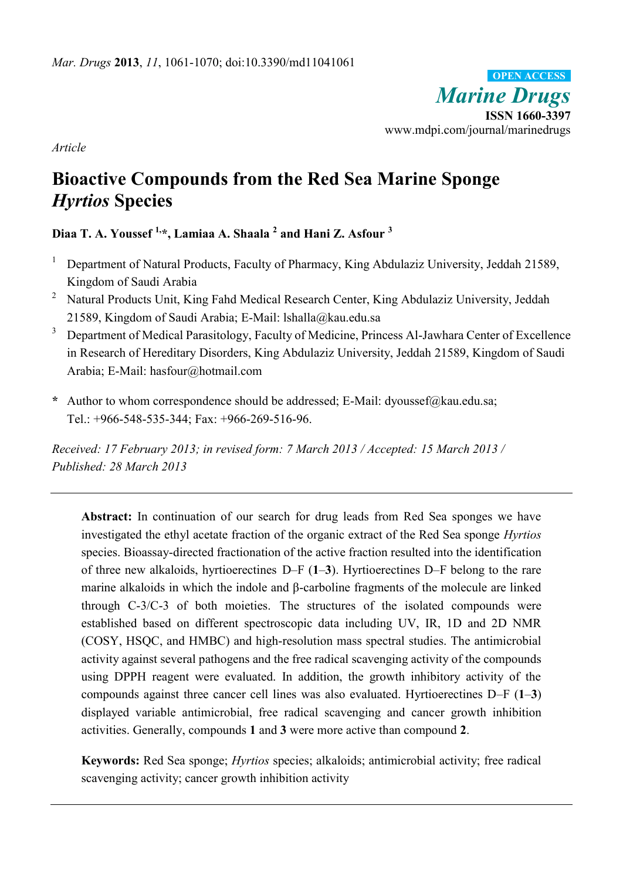*Marine Drugs* **ISSN 1660-3397** www.mdpi.com/journal/marinedrugs **OPEN ACCESS**

*Article*

# **Bioactive Compounds from the Red Sea Marine Sponge**  *Hyrtios* **Species**

# **Diaa T. A. Youssef 1,\*, Lamiaa A. Shaala <sup>2</sup> and Hani Z. Asfour <sup>3</sup>**

- <sup>1</sup> Department of Natural Products, Faculty of Pharmacy, King Abdulaziz University, Jeddah 21589, Kingdom of Saudi Arabia
- <sup>2</sup> Natural Products Unit, King Fahd Medical Research Center, King Abdulaziz University, Jeddah 21589, Kingdom of Saudi Arabia; E-Mail: lshalla@kau.edu.sa
- <sup>3</sup> Department of Medical Parasitology, Faculty of Medicine, Princess Al-Jawhara Center of Excellence in Research of Hereditary Disorders, King Abdulaziz University, Jeddah 21589, Kingdom of Saudi Arabia; E-Mail: hasfour@hotmail.com
- **\*** Author to whom correspondence should be addressed; E-Mail: dyoussef@kau.edu.sa; Tel.: +966-548-535-344; Fax: +966-269-516-96.

*Received: 17 February 2013; in revised form: 7 March 2013 / Accepted: 15 March 2013 / Published: 28 March 2013*

**Abstract:** In continuation of our search for drug leads from Red Sea sponges we have investigated the ethyl acetate fraction of the organic extract of the Red Sea sponge *Hyrtios*  species. Bioassay-directed fractionation of the active fraction resulted into the identification of three new alkaloids, hyrtioerectines D–F (**1**–**3**). Hyrtioerectines D–F belong to the rare marine alkaloids in which the indole and β-carboline fragments of the molecule are linked through C-3/C-3 of both moieties. The structures of the isolated compounds were established based on different spectroscopic data including UV, IR, 1D and 2D NMR (COSY, HSQC, and HMBC) and high-resolution mass spectral studies. The antimicrobial activity against several pathogens and the free radical scavenging activity of the compounds using DPPH reagent were evaluated. In addition, the growth inhibitory activity of the compounds against three cancer cell lines was also evaluated. Hyrtioerectines D–F (**1**–**3**) displayed variable antimicrobial, free radical scavenging and cancer growth inhibition activities. Generally, compounds **1** and **3** were more active than compound **2**.

**Keywords:** Red Sea sponge; *Hyrtios* species; alkaloids; antimicrobial activity; free radical scavenging activity; cancer growth inhibition activity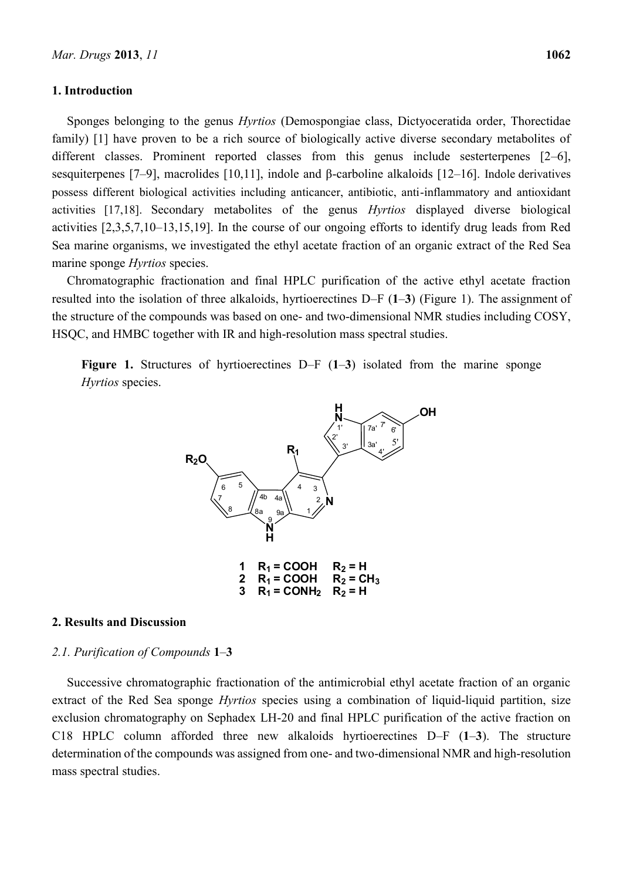#### **1. Introduction**

Sponges belonging to the genus *Hyrtios* (Demospongiae class, Dictyoceratida order, Thorectidae family) [1] have proven to be a rich source of biologically active diverse secondary metabolites of different classes. Prominent reported classes from this genus include sesterterpenes [2–6], sesquiterpenes [7–9], macrolides [10,11], indole and β-carboline alkaloids [12–16]. Indole derivatives possess different biological activities including anticancer, antibiotic, anti-inflammatory and antioxidant activities [17,18]. Secondary metabolites of the genus *Hyrtios* displayed diverse biological activities [2,3,5,7,10–13,15,19]. In the course of our ongoing efforts to identify drug leads from Red Sea marine organisms, we investigated the ethyl acetate fraction of an organic extract of the Red Sea marine sponge *Hyrtios* species.

Chromatographic fractionation and final HPLC purification of the active ethyl acetate fraction resulted into the isolation of three alkaloids, hyrtioerectines D–F (**1**–**3**) (Figure 1). The assignment of the structure of the compounds was based on one- and two-dimensional NMR studies including COSY, HSQC, and HMBC together with IR and high-resolution mass spectral studies.

**Figure 1.** Structures of hyrtioerectines D–F (**1**–**3**) isolated from the marine sponge *Hyrtios* species.



#### **2. Results and Discussion**

#### *2.1. Purification of Compounds* **1**–**3**

Successive chromatographic fractionation of the antimicrobial ethyl acetate fraction of an organic extract of the Red Sea sponge *Hyrtios* species using a combination of liquid-liquid partition, size exclusion chromatography on Sephadex LH-20 and final HPLC purification of the active fraction on C18 HPLC column afforded three new alkaloids hyrtioerectines D–F (**1**–**3**). The structure determination of the compounds was assigned from one- and two-dimensional NMR and high-resolution mass spectral studies.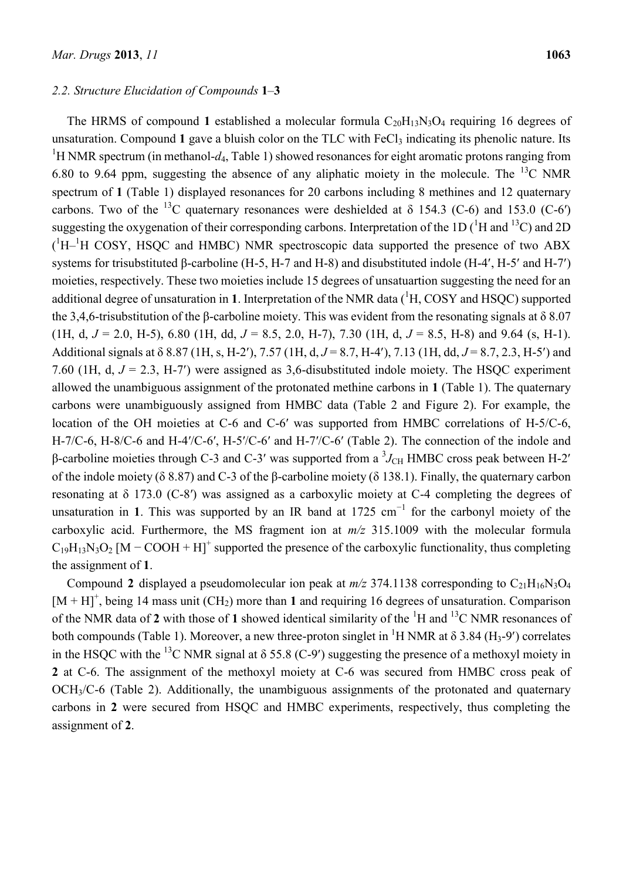#### *2.2. Structure Elucidation of Compounds* **1**–**3**

The HRMS of compound 1 established a molecular formula  $C_{20}H_{13}N_3O_4$  requiring 16 degrees of unsaturation. Compound 1 gave a bluish color on the TLC with FeCl<sub>3</sub> indicating its phenolic nature. Its <sup>1</sup>H NMR spectrum (in methanol- $d_4$ , Table 1) showed resonances for eight aromatic protons ranging from 6.80 to 9.64 ppm, suggesting the absence of any aliphatic moiety in the molecule. The  $^{13}$ C NMR spectrum of 1 (Table 1) displayed resonances for 20 carbons including 8 methines and 12 quaternary carbons. Two of the <sup>13</sup>C quaternary resonances were deshielded at  $\delta$  154.3 (C-6) and 153.0 (C-6') suggesting the oxygenation of their corresponding carbons. Interpretation of the 1D ( ${}^{1}$ H and  ${}^{13}$ C) and 2D  $(^1H-<sup>1</sup>H$  COSY, HSQC and HMBC) NMR spectroscopic data supported the presence of two ABX systems for trisubstituted β-carboline (H-5, H-7 and H-8) and disubstituted indole (H-4', H-5' and H-7') moieties, respectively. These two moieties include 15 degrees of unsatuartion suggesting the need for an additional degree of unsaturation in **1**. Interpretation of the NMR data  $(^1H$ , COSY and HSQC) supported the 3,4,6-trisubstitution of the β-carboline moiety. This was evident from the resonating signals at  $\delta$  8.07 (1H, d,  $J = 2.0$ , H-5), 6.80 (1H, dd,  $J = 8.5$ , 2.0, H-7), 7.30 (1H, d,  $J = 8.5$ , H-8) and 9.64 (s, H-1). Additional signals at δ 8.87 (1H, s, H-2), 7.57 (1H, d, *J* = 8.7, H-4), 7.13 (1H, dd, *J* = 8.7, 2.3, H-5) and 7.60 (1H, d, *J* = 2.3, H-7) were assigned as 3,6-disubstituted indole moiety. The HSQC experiment allowed the unambiguous assignment of the protonated methine carbons in **1** (Table 1). The quaternary carbons were unambiguously assigned from HMBC data (Table 2 and Figure 2). For example, the location of the OH moieties at C-6 and C-6' was supported from HMBC correlations of H-5/C-6, H-7/C-6, H-8/C-6 and H-4′/C-6′, H-5′/C-6′ and H-7′/C-6′ (Table 2). The connection of the indole and β-carboline moieties through C-3 and C-3' was supported from a  $\mathrm{^{3}J_{CH}}$  HMBC cross peak between H-2' of the indole moiety (δ 8.87) and C-3 of the β-carboline moiety (δ 138.1). Finally, the quaternary carbon resonating at δ 173.0 (C-8′) was assigned as a carboxylic moiety at C-4 completing the degrees of unsaturation in 1. This was supported by an IR band at  $1725 \text{ cm}^{-1}$  for the carbonyl moiety of the carboxylic acid. Furthermore, the MS fragment ion at *m/z* 315.1009 with the molecular formula  $C_{19}H_{13}N_3O_2$  [M – COOH + H]<sup>+</sup> supported the presence of the carboxylic functionality, thus completing the assignment of **1**.

Compound 2 displayed a pseudomolecular ion peak at  $m/z$  374.1138 corresponding to  $C_{21}H_{16}N_3O_4$  $[M + H]$ <sup>+</sup>, being 14 mass unit (CH<sub>2</sub>) more than 1 and requiring 16 degrees of unsaturation. Comparison of the NMR data of 2 with those of 1 showed identical similarity of the <sup>1</sup>H and <sup>13</sup>C NMR resonances of both compounds (Table 1). Moreover, a new three-proton singlet in <sup>1</sup>H NMR at  $\delta$  3.84 (H<sub>3</sub>-9') correlates in the HSQC with the <sup>13</sup>C NMR signal at  $\delta$  55.8 (C-9') suggesting the presence of a methoxyl moiety in **2** at C-6. The assignment of the methoxyl moiety at C-6 was secured from HMBC cross peak of OCH3/C-6 (Table 2). Additionally, the unambiguous assignments of the protonated and quaternary carbons in **2** were secured from HSQC and HMBC experiments, respectively, thus completing the assignment of **2**.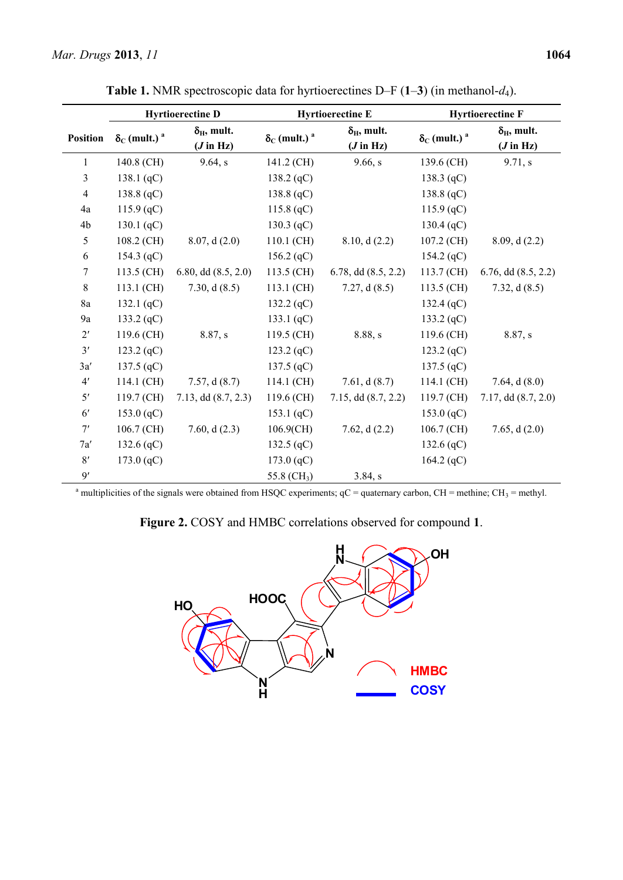|                 | <b>Hyrtioerectine D</b>               |                             | <b>Hyrtioerectine E</b>               |                          | <b>Hyrtioerectine F</b>               |                          |
|-----------------|---------------------------------------|-----------------------------|---------------------------------------|--------------------------|---------------------------------------|--------------------------|
| <b>Position</b> | $\delta_{\rm C}$ (mult.) <sup>a</sup> | $\delta_{\rm H}$ , mult.    | $\delta_{\rm C}$ (mult.) <sup>a</sup> | $\delta_{\rm H}$ , mult. | $\delta_{\rm C}$ (mult.) <sup>a</sup> | $\delta_{\rm H}$ , mult. |
|                 |                                       | $(J \text{ in } \text{Hz})$ |                                       | $(J \text{ in } Hz)$     |                                       | $(J \text{ in } Hz)$     |
| $\mathbf{1}$    | 140.8 (CH)                            | 9.64, s                     | 141.2 (CH)                            | 9.66, s                  | 139.6 (CH)                            | 9.71, s                  |
| 3               | 138.1 $(qC)$                          |                             | $138.2$ (qC)                          |                          | 138.3 $(qC)$                          |                          |
| $\overline{4}$  | 138.8 $(qC)$                          |                             | 138.8 $(qC)$                          |                          | 138.8 (qC)                            |                          |
| 4a              | 115.9 (qC)                            |                             | 115.8 $(qC)$                          |                          | $115.9$ (qC)                          |                          |
| 4b              | 130.1 $(qC)$                          |                             | 130.3 $(qC)$                          |                          | 130.4 (qC)                            |                          |
| 5               | 108.2 (CH)                            | 8.07, d(2.0)                | 110.1 (CH)                            | 8.10, d(2.2)             | 107.2 (CH)                            | 8.09, d(2.2)             |
| 6               | 154.3 $(qC)$                          |                             | 156.2 $(qC)$                          |                          | 154.2 (qC)                            |                          |
| 7               | 113.5 (CH)                            | 6.80, dd $(8.5, 2.0)$       | 113.5 (CH)                            | 6.78, dd $(8.5, 2.2)$    | 113.7 (CH)                            | $6.76$ , dd $(8.5, 2.2)$ |
| 8               | 113.1 (CH)                            | 7.30, $d(8.5)$              | 113.1 (CH)                            | 7.27, $d(8.5)$           | 113.5 (CH)                            | 7.32, $d(8.5)$           |
| 8a              | 132.1 $(qC)$                          |                             | 132.2 $(qC)$                          |                          | 132.4 (qC)                            |                          |
| 9a              | 133.2 $(qC)$                          |                             | 133.1 $(qC)$                          |                          | 133.2 (qC)                            |                          |
| $2^{\prime}$    | 119.6 (CH)                            | 8.87, s                     | 119.5 (CH)                            | 8.88, s                  | 119.6 (CH)                            | 8.87, s                  |
| 3'              | 123.2 $(qC)$                          |                             | $123.2$ (qC)                          |                          | $123.2$ (qC)                          |                          |
| 3a'             | 137.5 $(qC)$                          |                             | 137.5 $(qC)$                          |                          | 137.5 $(qC)$                          |                          |
| 4'              | 114.1 (CH)                            | 7.57, d(8.7)                | 114.1 (CH)                            | 7.61, d(8.7)             | 114.1 (CH)                            | 7.64, $d(8.0)$           |
| 5'              | 119.7 (CH)                            | 7.13, dd $(8.7, 2.3)$       | 119.6 (CH)                            | $7.15$ , dd $(8.7, 2.2)$ | 119.7 (CH)                            | 7.17, d d (8.7, 2.0)     |
| 6 <sup>'</sup>  | 153.0 $(qC)$                          |                             | 153.1 $(qC)$                          |                          | 153.0 (qC)                            |                          |
| 7'              | $106.7$ (CH)                          | 7.60, $d(2.3)$              | $106.9$ (CH)                          | 7.62, $d(2.2)$           | $106.7$ (CH)                          | 7.65, $d(2.0)$           |
| 7a'             | 132.6 $(qC)$                          |                             | 132.5 $(qC)$                          |                          | 132.6 $(qC)$                          |                          |
| 8'              | 173.0 (qC)                            |                             | 173.0 (qC)                            |                          | 164.2 $(qC)$                          |                          |
| 9'              |                                       |                             | 55.8 (CH <sub>3</sub> )               | 3.84, s                  |                                       |                          |

**Table 1.** NMR spectroscopic data for hyrtioerectines D–F (**1**–**3**) (in methanol-*d*4).

<sup>a</sup> multiplicities of the signals were obtained from HSQC experiments;  $qC =$  quaternary carbon,  $CH =$  methine;  $CH_3 =$  methyl.

**Figure 2.** COSY and HMBC correlations observed for compound **1**.

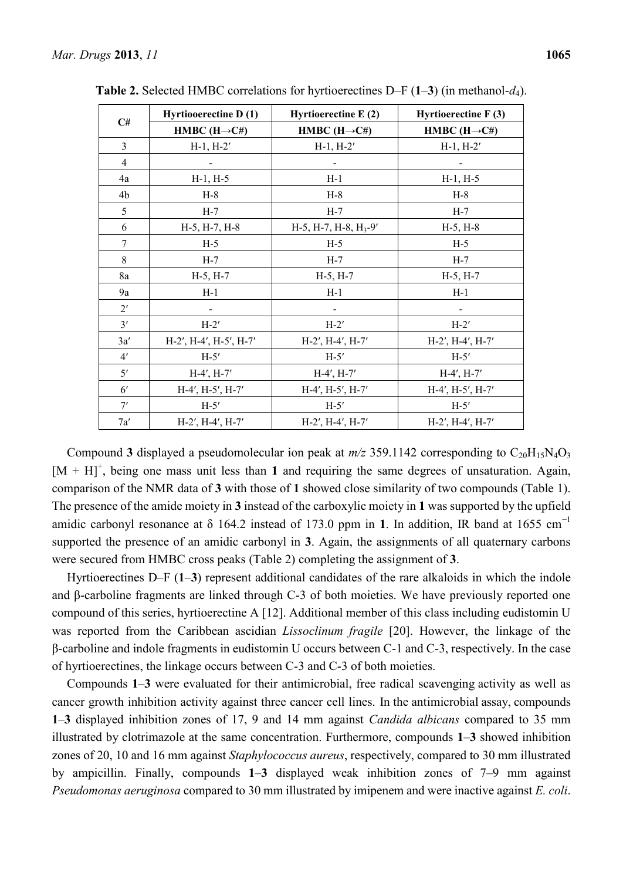| C#             | Hyrtiooerectine D(1)     | Hyrtioerectine E (2)             | Hyrtioerectine $F(3)$    |  |
|----------------|--------------------------|----------------------------------|--------------------------|--|
|                | HMBC $(H\rightarrow C#)$ | HMBC $(H\rightarrow C#)$         | HMBC $(H\rightarrow C#)$ |  |
| $\overline{3}$ | $H-1, H-2'$              | $H-1, H-2'$                      | $H-1, H-2'$              |  |
| $\overline{4}$ |                          |                                  |                          |  |
| 4a             | $H-1, H-5$               | $H-1$                            | $H-1, H-5$               |  |
| 4b             | $H-8$                    | $H-8$                            | $H-8$                    |  |
| 5              | $H-7$                    | $H-7$                            | $H-7$                    |  |
| 6              | H-5, H-7, H-8            | $H-5$ , $H-7$ , $H-8$ , $H_3-9'$ | $H-5, H-8$               |  |
| $\overline{7}$ | $H-5$                    | $H-5$                            | $H-5$                    |  |
| $8\,$          | $H-7$                    | $H-7$                            | $H-7$                    |  |
| 8a             | $H-5, H-7$               | $H-5, H-7$                       | $H-5, H-7$               |  |
| 9a             | $H-1$                    | $H-1$                            | $H-1$                    |  |
| $2^{\prime}$   |                          |                                  |                          |  |
| 3'             | $H-2'$                   | $H-2'$                           | $H-2'$                   |  |
| 3a'            | H-2', H-4', H-5', H-7'   | H-2', H-4', H-7'                 | H-2', H-4', H-7'         |  |
| 4'             | $H-5'$                   | $H-5'$                           | $H-5'$                   |  |
| 5'             | $H-4', H-7'$             | $H-4', H-7'$                     | $H-4', H-7'$             |  |
| $6^{\prime}$   | $H-4', H-5', H-7'$       | $H-4', H-5', H-7'$               | H-4', H-5', H-7'         |  |
| 7'             | $H-5'$                   | $H-5'$                           | $H-5'$                   |  |
| 7a'            | $H-2'$ , $H-4'$ , $H-7'$ | $H-2'$ , $H-4'$ , $H-7'$         | H-2', H-4', H-7'         |  |

**Table 2.** Selected HMBC correlations for hyrtioerectines D–F (**1**–**3**) (in methanol-*d*4).

Compound **3** displayed a pseudomolecular ion peak at  $m/z$  359.1142 corresponding to  $C_{20}H_1sN_4O_3$  $[M + H]$ <sup>+</sup>, being one mass unit less than 1 and requiring the same degrees of unsaturation. Again, comparison of the NMR data of **3** with those of **1** showed close similarity of two compounds (Table 1). The presence of the amide moiety in **3** instead of the carboxylic moiety in **1** was supported by the upfield amidic carbonyl resonance at  $\delta$  164.2 instead of 173.0 ppm in 1. In addition, IR band at 1655 cm<sup>-1</sup> supported the presence of an amidic carbonyl in **3**. Again, the assignments of all quaternary carbons were secured from HMBC cross peaks (Table 2) completing the assignment of **3**.

Hyrtioerectines D–F (**1**–**3**) represent additional candidates of the rare alkaloids in which the indole and β-carboline fragments are linked through C-3 of both moieties. We have previously reported one compound of this series, hyrtioerectine A [12]. Additional member of this class including eudistomin U was reported from the Caribbean ascidian *Lissoclinum fragile* [20]. However, the linkage of the β-carboline and indole fragments in eudistomin U occurs between C-1 and C-3, respectively. In the case of hyrtioerectines, the linkage occurs between C-3 and C-3 of both moieties.

Compounds **1**–**3** were evaluated for their antimicrobial, free radical scavenging activity as well as cancer growth inhibition activity against three cancer cell lines. In the antimicrobial assay, compounds **1**–**3** displayed inhibition zones of 17, 9 and 14 mm against *Candida albicans* compared to 35 mm illustrated by clotrimazole at the same concentration. Furthermore, compounds **1**–**3** showed inhibition zones of 20, 10 and 16 mm against *Staphylococcus aureus*, respectively, compared to 30 mm illustrated by ampicillin. Finally, compounds **1**–**3** displayed weak inhibition zones of 7–9 mm against *Pseudomonas aeruginosa* compared to 30 mm illustrated by imipenem and were inactive against *E. coli*.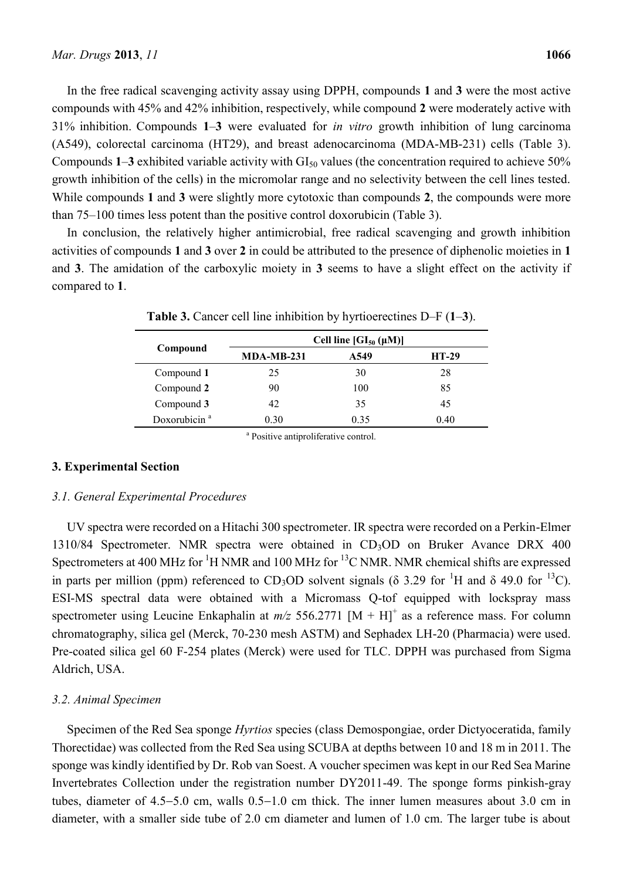In the free radical scavenging activity assay using DPPH, compounds **1** and **3** were the most active compounds with 45% and 42% inhibition, respectively, while compound **2** were moderately active with 31% inhibition. Compounds **1**–**3** were evaluated for *in vitro* growth inhibition of lung carcinoma (A549), colorectal carcinoma (HT29), and breast adenocarcinoma (MDA-MB-231) cells (Table 3). Compounds  $1-3$  exhibited variable activity with  $GI<sub>50</sub>$  values (the concentration required to achieve  $50\%$ growth inhibition of the cells) in the micromolar range and no selectivity between the cell lines tested. While compounds **1** and **3** were slightly more cytotoxic than compounds **2**, the compounds were more than 75–100 times less potent than the positive control doxorubicin (Table 3).

In conclusion, the relatively higher antimicrobial, free radical scavenging and growth inhibition activities of compounds **1** and **3** over **2** in could be attributed to the presence of diphenolic moieties in **1** and **3**. The amidation of the carboxylic moiety in **3** seems to have a slight effect on the activity if compared to **1**.

| $MDA-MB-231$ | A549 | <b>HT-29</b>                                                              |
|--------------|------|---------------------------------------------------------------------------|
| 25           | 30   | 28                                                                        |
| 90           | 100  | 85                                                                        |
| 42           | 35   | 45                                                                        |
| 0.30         | 0.35 | 0.40                                                                      |
|              |      | Cell line $\left[ \mathrm{GI}_{50} \left( \mu \mathrm{M} \right) \right]$ |

**Table 3.** Cancer cell line inhibition by hyrtioerectines D–F (**1**–**3**).

a Positive antiproliferative control.

# **3. Experimental Section**

#### *3.1. General Experimental Procedures*

UV spectra were recorded on a Hitachi 300 spectrometer. IR spectra were recorded on a Perkin-Elmer 1310/84 Spectrometer. NMR spectra were obtained in CD<sub>3</sub>OD on Bruker Avance DRX 400 Spectrometers at 400 MHz for  ${}^{1}$ H NMR and 100 MHz for  ${}^{13}$ C NMR. NMR chemical shifts are expressed in parts per million (ppm) referenced to CD<sub>3</sub>OD solvent signals ( $\delta$  3.29 for <sup>1</sup>H and  $\delta$  49.0 for <sup>13</sup>C). ESI-MS spectral data were obtained with a Micromass Q-tof equipped with lockspray mass spectrometer using Leucine Enkaphalin at  $m/z$  556.2771  $[M + H]$ <sup>+</sup> as a reference mass. For column chromatography, silica gel (Merck, 70-230 mesh ASTM) and Sephadex LH-20 (Pharmacia) were used. Pre-coated silica gel 60 F-254 plates (Merck) were used for TLC. DPPH was purchased from Sigma Aldrich, USA.

#### *3.2. Animal Specimen*

Specimen of the Red Sea sponge *Hyrtios* species (class Demospongiae, order Dictyoceratida, family Thorectidae) was collected from the Red Sea using SCUBA at depths between 10 and 18 m in 2011. The sponge was kindly identified by Dr. Rob van Soest. A voucher specimen was kept in our Red Sea Marine Invertebrates Collection under the registration number DY2011-49. The sponge forms pinkish-gray tubes, diameter of  $4.5-5.0$  cm, walls  $0.5-1.0$  cm thick. The inner lumen measures about 3.0 cm in diameter, with a smaller side tube of 2.0 cm diameter and lumen of 1.0 cm. The larger tube is about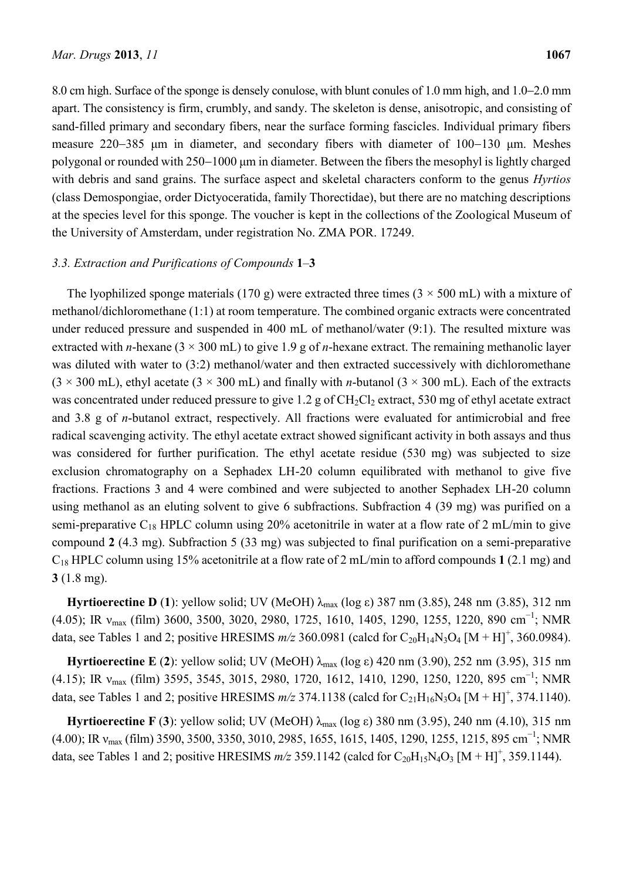8.0 cm high. Surface of the sponge is densely conulose, with blunt conules of 1.0 mm high, and 1.0–2.0 mm apart. The consistency is firm, crumbly, and sandy. The skeleton is dense, anisotropic, and consisting of sand-filled primary and secondary fibers, near the surface forming fascicles. Individual primary fibers measure 220–385 μm in diameter, and secondary fibers with diameter of 100–130 μm. Meshes polygonal or rounded with 250–1000 μm in diameter. Between the fibers the mesophyl is lightly charged with debris and sand grains. The surface aspect and skeletal characters conform to the genus *Hyrtios* (class Demospongiae, order Dictyoceratida, family Thorectidae), but there are no matching descriptions at the species level for this sponge. The voucher is kept in the collections of the Zoological Museum of the University of Amsterdam, under registration No. ZMA POR. 17249.

#### *3.3. Extraction and Purifications of Compounds* **1**–**3**

The lyophilized sponge materials (170 g) were extracted three times ( $3 \times 500$  mL) with a mixture of methanol/dichloromethane (1:1) at room temperature. The combined organic extracts were concentrated under reduced pressure and suspended in 400 mL of methanol/water (9:1). The resulted mixture was extracted with *n*-hexane ( $3 \times 300$  mL) to give 1.9 g of *n*-hexane extract. The remaining methanolic layer was diluted with water to (3:2) methanol/water and then extracted successively with dichloromethane  $(3 \times 300 \text{ mL})$ , ethyl acetate  $(3 \times 300 \text{ mL})$  and finally with *n*-butanol  $(3 \times 300 \text{ mL})$ . Each of the extracts was concentrated under reduced pressure to give 1.2 g of  $CH_2Cl_2$  extract, 530 mg of ethyl acetate extract and 3.8 g of *n*-butanol extract, respectively. All fractions were evaluated for antimicrobial and free radical scavenging activity. The ethyl acetate extract showed significant activity in both assays and thus was considered for further purification. The ethyl acetate residue (530 mg) was subjected to size exclusion chromatography on a Sephadex LH-20 column equilibrated with methanol to give five fractions. Fractions 3 and 4 were combined and were subjected to another Sephadex LH-20 column using methanol as an eluting solvent to give 6 subfractions. Subfraction 4 (39 mg) was purified on a semi-preparative  $C_{18}$  HPLC column using 20% acetonitrile in water at a flow rate of 2 mL/min to give compound **2** (4.3 mg). Subfraction 5 (33 mg) was subjected to final purification on a semi-preparative C<sup>18</sup> HPLC column using 15% acetonitrile at a flow rate of 2 mL/min to afford compounds **1** (2.1 mg) and **3** (1.8 mg).

**Hyrtioerectine D** (1): yellow solid; UV (MeOH) λ<sub>max</sub> (log ε) 387 nm (3.85), 248 nm (3.85), 312 nm (4.05); IR  $v_{\text{max}}$  (film) 3600, 3500, 3020, 2980, 1725, 1610, 1405, 1290, 1255, 1220, 890 cm<sup>-1</sup>; NMR data, see Tables 1 and 2; positive HRESIMS  $m/z$  360.0981 (calcd for  $C_{20}H_{14}N_3O_4$  [M + H]<sup>+</sup>, 360.0984).

**Hyrtioerectine E** (**2**): yellow solid; UV (MeOH) λmax (log ε) 420 nm (3.90), 252 nm (3.95), 315 nm (4.15); IR  $v_{\text{max}}$  (film) 3595, 3545, 3015, 2980, 1720, 1612, 1410, 1290, 1250, 1220, 895 cm<sup>-1</sup>; NMR data, see Tables 1 and 2; positive HRESIMS  $m/z$  374.1138 (calcd for  $C_{21}H_{16}N_3O_4$  [M + H]<sup>+</sup>, 374.1140).

**Hyrtioerectine F** (**3**): yellow solid; UV (MeOH) λmax (log ε) 380 nm (3.95), 240 nm (4.10), 315 nm  $(4.00)$ ; IR  $v_{\text{max}}$  (film) 3590, 3500, 3350, 3010, 2985, 1655, 1615, 1405, 1290, 1255, 1215, 895 cm<sup>-1</sup>; NMR data, see Tables 1 and 2; positive HRESIMS  $m/z$  359.1142 (calcd for  $C_{20}H_{15}N_4O_3$  [M + H]<sup>+</sup>, 359.1144).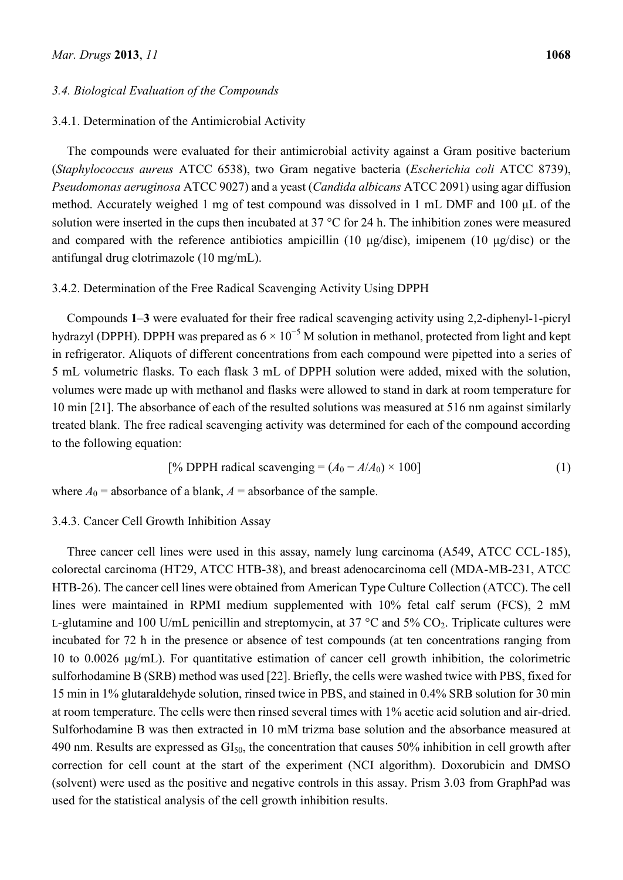# *3.4. Biological Evaluation of the Compounds*

## 3.4.1. Determination of the Antimicrobial Activity

The compounds were evaluated for their antimicrobial activity against a Gram positive bacterium (*Staphylococcus aureus* ATCC 6538), two Gram negative bacteria (*Escherichia coli* ATCC 8739), *Pseudomonas aeruginosa* ATCC 9027) and a yeast (*Candida albicans* ATCC 2091) using agar diffusion method. Accurately weighed 1 mg of test compound was dissolved in 1 mL DMF and 100 μL of the solution were inserted in the cups then incubated at 37 °C for 24 h. The inhibition zones were measured and compared with the reference antibiotics ampicillin (10  $\mu$ g/disc), imipenem (10  $\mu$ g/disc) or the antifungal drug clotrimazole (10 mg/mL).

# 3.4.2. Determination of the Free Radical Scavenging Activity Using DPPH

Compounds **1**–**3** were evaluated for their free radical scavenging activity using 2,2-diphenyl-1-picryl hydrazyl (DPPH). DPPH was prepared as  $6 \times 10^{-5}$  M solution in methanol, protected from light and kept in refrigerator. Aliquots of different concentrations from each compound were pipetted into a series of 5 mL volumetric flasks. To each flask 3 mL of DPPH solution were added, mixed with the solution, volumes were made up with methanol and flasks were allowed to stand in dark at room temperature for 10 min [21]. The absorbance of each of the resulted solutions was measured at 516 nm against similarly treated blank. The free radical scavenging activity was determined for each of the compound according to the following equation:

[% DPPH radical scavenging = 
$$
(A_0 - A/A_0) \times 100
$$
] (1)

where  $A_0$  = absorbance of a blank,  $A$  = absorbance of the sample.

## 3.4.3. Cancer Cell Growth Inhibition Assay

Three cancer cell lines were used in this assay, namely lung carcinoma (A549, ATCC CCL-185), colorectal carcinoma (HT29, ATCC HTB-38), and breast adenocarcinoma cell (MDA-MB-231, ATCC HTB-26). The cancer cell lines were obtained from American Type Culture Collection (ATCC). The cell lines were maintained in RPMI medium supplemented with 10% fetal calf serum (FCS), 2 mM L-glutamine and 100 U/mL penicillin and streptomycin, at 37  $^{\circ}$ C and 5% CO<sub>2</sub>. Triplicate cultures were incubated for 72 h in the presence or absence of test compounds (at ten concentrations ranging from 10 to 0.0026 μg/mL). For quantitative estimation of cancer cell growth inhibition, the colorimetric sulforhodamine B (SRB) method was used [22]. Briefly, the cells were washed twice with PBS, fixed for 15 min in 1% glutaraldehyde solution, rinsed twice in PBS, and stained in 0.4% SRB solution for 30 min at room temperature. The cells were then rinsed several times with 1% acetic acid solution and air-dried. Sulforhodamine B was then extracted in 10 mM trizma base solution and the absorbance measured at 490 nm. Results are expressed as  $GI<sub>50</sub>$ , the concentration that causes 50% inhibition in cell growth after correction for cell count at the start of the experiment (NCI algorithm). Doxorubicin and DMSO (solvent) were used as the positive and negative controls in this assay. Prism 3.03 from GraphPad was used for the statistical analysis of the cell growth inhibition results.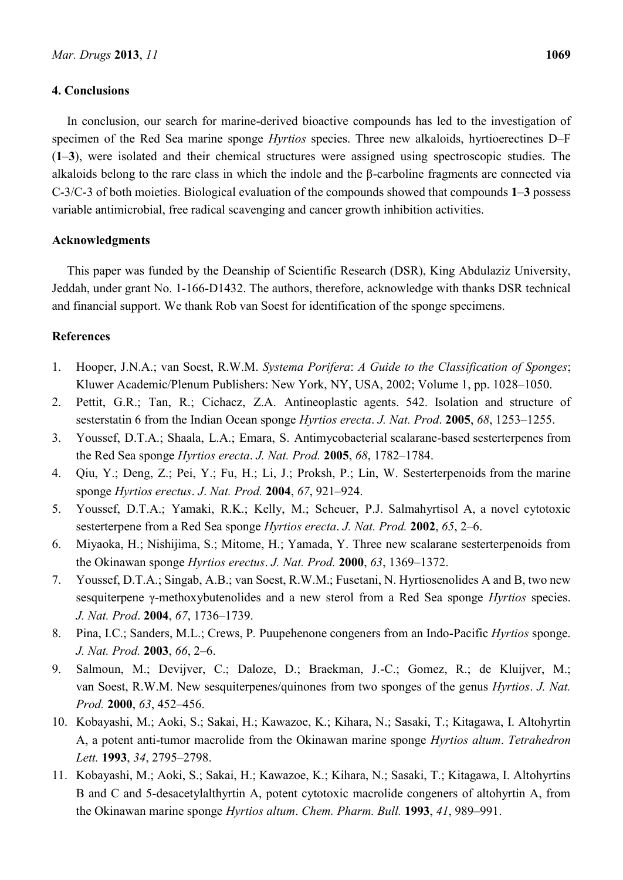#### **4. Conclusions**

In conclusion, our search for marine-derived bioactive compounds has led to the investigation of specimen of the Red Sea marine sponge *Hyrtios* species. Three new alkaloids, hyrtioerectines D–F (**1**–**3**), were isolated and their chemical structures were assigned using spectroscopic studies. The alkaloids belong to the rare class in which the indole and the β-carboline fragments are connected via C-3/C-3 of both moieties. Biological evaluation of the compounds showed that compounds **1**–**3** possess variable antimicrobial, free radical scavenging and cancer growth inhibition activities.

#### **Acknowledgments**

This paper was funded by the Deanship of Scientific Research (DSR), King Abdulaziz University, Jeddah, under grant No. 1-166-D1432. The authors, therefore, acknowledge with thanks DSR technical and financial support. We thank Rob van Soest for identification of the sponge specimens.

# **References**

- 1. Hooper, J.N.A.; van Soest, R.W.M. *Systema Porifera*: *A Guide to the Classification of Sponges*; Kluwer Academic/Plenum Publishers: New York, NY, USA, 2002; Volume 1, pp. 1028–1050.
- 2. Pettit, G.R.; Tan, R.; Cichacz, Z.A. Antineoplastic agents. 542. Isolation and structure of sesterstatin 6 from the Indian Ocean sponge *Hyrtios erecta*. *J. Nat. Prod*. **2005**, *68*, 1253–1255.
- 3. Youssef, D.T.A.; Shaala, L.A.; Emara, S. Antimycobacterial scalarane-based sesterterpenes from the Red Sea sponge *Hyrtios erecta*. *J. Nat. Prod.* **2005**, *68*, 1782–1784.
- 4. Qiu, Y.; Deng, Z.; Pei, Y.; Fu, H.; Li, J.; Proksh, P.; Lin, W. Sesterterpenoids from the marine sponge *Hyrtios erectus*. *J*. *Nat. Prod.* **2004**, *67*, 921–924.
- 5. Youssef, D.T.A.; Yamaki, R.K.; Kelly, M.; Scheuer, P.J. Salmahyrtisol A, a novel cytotoxic sesterterpene from a Red Sea sponge *Hyrtios erecta*. *J. Nat. Prod.* **2002**, *65*, 2–6.
- 6. Miyaoka, H.; Nishijima, S.; Mitome, H.; Yamada, Y. Three new scalarane sesterterpenoids from the Okinawan sponge *Hyrtios erectus*. *J. Nat. Prod.* **2000**, *63*, 1369–1372.
- 7. Youssef, D.T.A.; Singab, A.B.; van Soest, R.W.M.; Fusetani, N. Hyrtiosenolides A and B, two new sesquiterpene γ-methoxybutenolides and a new sterol from a Red Sea sponge *Hyrtios* species. *J. Nat. Prod*. **2004**, *67*, 1736–1739.
- 8. Pina, I.C.; Sanders, M.L.; Crews, P*.* Puupehenone congeners from an Indo-Pacific *Hyrtios* sponge. *J. Nat. Prod.* **2003**, *66*, 2–6.
- 9. Salmoun, M.; Devijver, C.; Daloze, D.; Braekman, J.-C.; Gomez, R.; de Kluijver, M.; van Soest, R.W.M. New sesquiterpenes/quinones from two sponges of the genus *Hyrtios*. *J. Nat. Prod.* **2000**, *63*, 452–456.
- 10. Kobayashi, M.; Aoki, S.; Sakai, H.; Kawazoe, K.; Kihara, N.; Sasaki, T.; Kitagawa, I. Altohyrtin A, a potent anti-tumor macrolide from the Okinawan marine sponge *Hyrtios altum*. *Tetrahedron Lett.* **1993**, *34*, 2795–2798.
- 11. Kobayashi, M.; Aoki, S.; Sakai, H.; Kawazoe, K.; Kihara, N.; Sasaki, T.; Kitagawa, I. Altohyrtins B and C and 5-desacetylalthyrtin A, potent cytotoxic macrolide congeners of altohyrtin A, from the Okinawan marine sponge *Hyrtios altum*. *Chem. Pharm. Bull.* **1993**, *41*, 989–991.